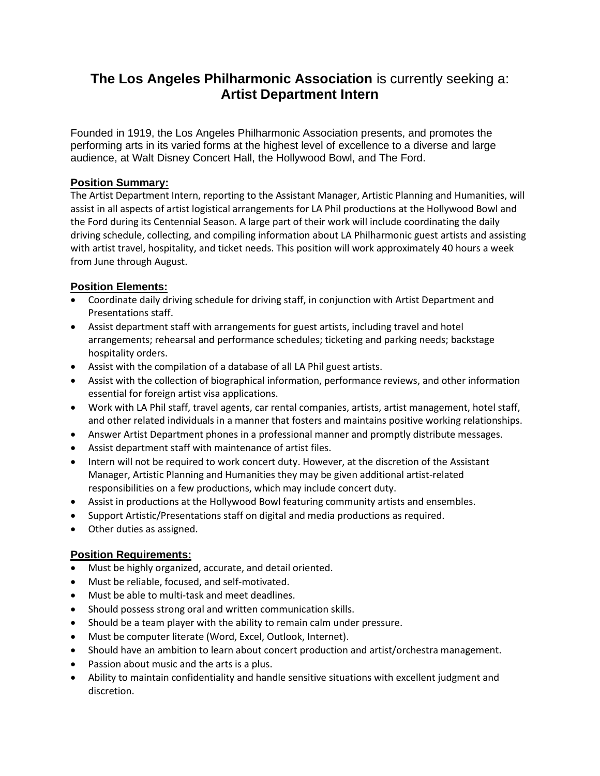# **The Los Angeles Philharmonic Association** is currently seeking a: **Artist Department Intern**

Founded in 1919, the Los Angeles Philharmonic Association presents, and promotes the performing arts in its varied forms at the highest level of excellence to a diverse and large audience, at Walt Disney Concert Hall, the Hollywood Bowl, and The Ford.

## **Position Summary:**

The Artist Department Intern, reporting to the Assistant Manager, Artistic Planning and Humanities, will assist in all aspects of artist logistical arrangements for LA Phil productions at the Hollywood Bowl and the Ford during its Centennial Season. A large part of their work will include coordinating the daily driving schedule, collecting, and compiling information about LA Philharmonic guest artists and assisting with artist travel, hospitality, and ticket needs. This position will work approximately 40 hours a week from June through August.

## **Position Elements:**

- Coordinate daily driving schedule for driving staff, in conjunction with Artist Department and Presentations staff.
- Assist department staff with arrangements for guest artists, including travel and hotel arrangements; rehearsal and performance schedules; ticketing and parking needs; backstage hospitality orders.
- Assist with the compilation of a database of all LA Phil guest artists.
- Assist with the collection of biographical information, performance reviews, and other information essential for foreign artist visa applications.
- Work with LA Phil staff, travel agents, car rental companies, artists, artist management, hotel staff, and other related individuals in a manner that fosters and maintains positive working relationships.
- Answer Artist Department phones in a professional manner and promptly distribute messages.
- Assist department staff with maintenance of artist files.
- Intern will not be required to work concert duty. However, at the discretion of the Assistant Manager, Artistic Planning and Humanities they may be given additional artist-related responsibilities on a few productions, which may include concert duty.
- Assist in productions at the Hollywood Bowl featuring community artists and ensembles.
- Support Artistic/Presentations staff on digital and media productions as required.
- Other duties as assigned.

# **Position Requirements:**

- Must be highly organized, accurate, and detail oriented.
- Must be reliable, focused, and self-motivated.
- Must be able to multi-task and meet deadlines.
- Should possess strong oral and written communication skills.
- Should be a team player with the ability to remain calm under pressure.
- Must be computer literate (Word, Excel, Outlook, Internet).
- Should have an ambition to learn about concert production and artist/orchestra management.
- Passion about music and the arts is a plus.
- Ability to maintain confidentiality and handle sensitive situations with excellent judgment and discretion.